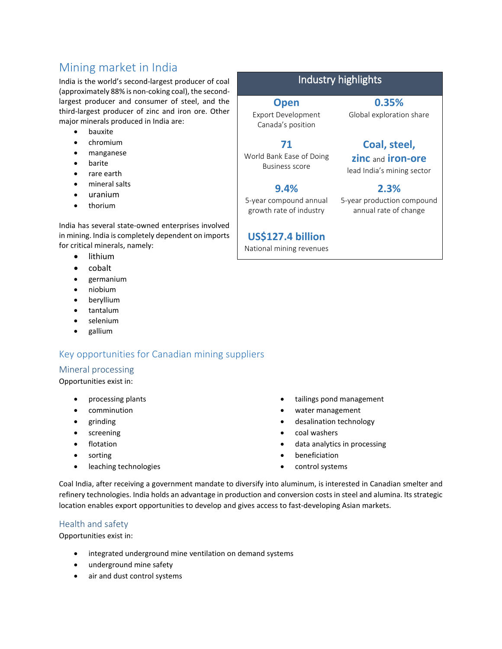# Mining market in India

India is the world's second-largest producer of coal (approximately 88% is non-coking coal), the secondlargest producer and consumer of steel, and the third-largest producer of zinc and iron ore. Other major minerals produced in India are:

- bauxite
- chromium
- manganese
- barite
- rare earth
- mineral salts
- uranium
- thorium

India has several state-owned enterprises involved in mining. India is completely dependent on imports for critical minerals, namely:

- lithium
- cobalt
- germanium
- niobium
- beryllium
- tantalum
- selenium
- gallium

# Key opportunities for Canadian mining suppliers

#### Mineral processing

Opportunities exist in:

- processing plants
- comminution
- grinding
- screening
- **•** flotation
- sorting
- leaching technologies
- tailings pond management
- water management
- desalination technology
- coal washers
- data analytics in processing
- beneficiation
- control systems

Coal India, after receiving a government mandate to diversify into aluminum, is interested in Canadian smelter and refinery technologies. India holds an advantage in production and conversion costs in steel and alumina. Its strategic location enables export opportunities to develop and gives access to fast-developing Asian markets.

### Health and safety

Opportunities exist in:

- integrated underground mine ventilation on demand systems
- underground mine safety
- air and dust control systems

# Industry highlights

**Open** Export Development Canada's position

**71**

Business score

**9.4%** 5-year compound annual growth rate of industry

**0.35%** Global exploration share

# **Coal, steel,**

**zinc** and **iron-ore** lead India's mining sector

5-year production compound annual rate of change

**US\$127.4 billion**

National mining revenues

World Bank Ease of Doing

**2.3%**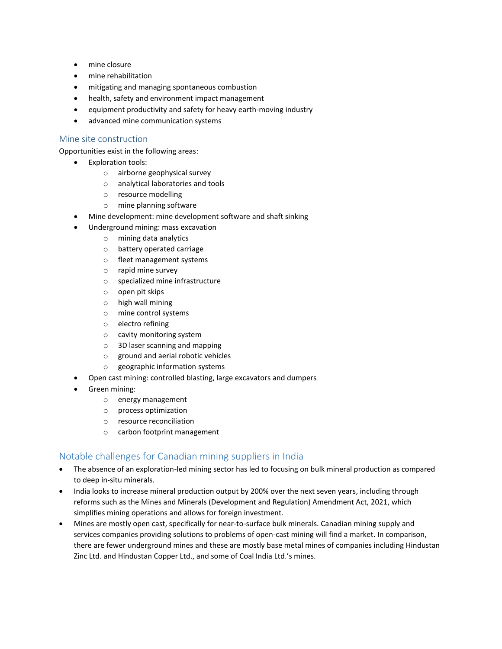- mine closure
- mine rehabilitation
- mitigating and managing spontaneous combustion
- health, safety and environment impact management
- equipment productivity and safety for heavy earth-moving industry
- advanced mine communication systems

#### Mine site construction

Opportunities exist in the following areas:

- Exploration tools:
	- o airborne geophysical survey
	- o analytical laboratories and tools
	- o resource modelling
	- o mine planning software
- Mine development: mine development software and shaft sinking
	- Underground mining: mass excavation
		- o mining data analytics
		- o battery operated carriage
		- o fleet management systems
		- o rapid mine survey
		- o specialized mine infrastructure
		- o open pit skips
		- o high wall mining
		- o mine control systems
		- o electro refining
		- o cavity monitoring system
		- o 3D laser scanning and mapping
		- o ground and aerial robotic vehicles
		- o geographic information systems
	- Open cast mining: controlled blasting, large excavators and dumpers
- Green mining:
	- o energy management
	- o process optimization
	- o resource reconciliation
	- o carbon footprint management

### Notable challenges for Canadian mining suppliers in India

- The absence of an exploration-led mining sector has led to focusing on bulk mineral production as compared to deep in-situ minerals.
- India looks to increase mineral production output by 200% over the next seven years, including through reforms such as the Mines and Minerals (Development and Regulation) Amendment Act, 2021, which simplifies mining operations and allows for foreign investment.
- Mines are mostly open cast, specifically for near-to-surface bulk minerals. Canadian mining supply and services companies providing solutions to problems of open-cast mining will find a market. In comparison, there are fewer underground mines and these are mostly base metal mines of companies including Hindustan Zinc Ltd. and Hindustan Copper Ltd., and some of Coal India Ltd.'s mines.